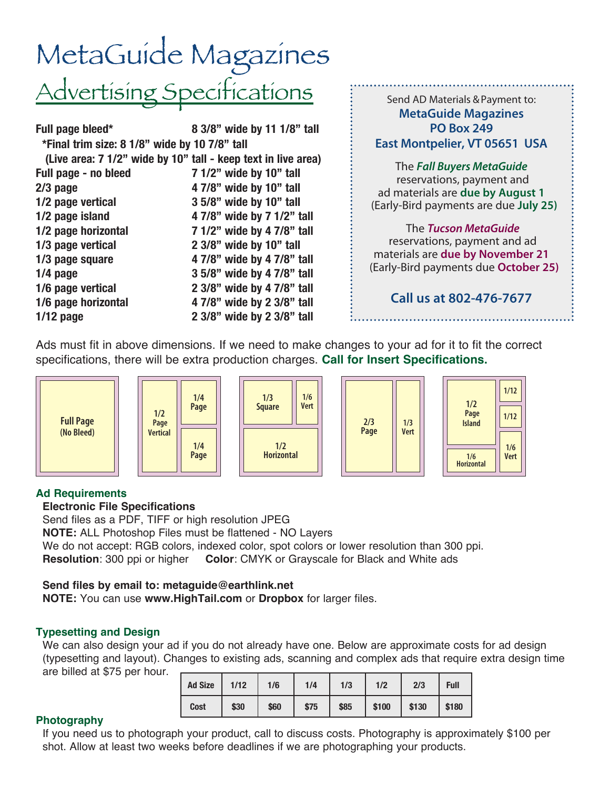## MetaGuide Magazines Advertising Specifications

| Full page bleed*                                              | 8 3/8" wide by 11 1/8" tall |
|---------------------------------------------------------------|-----------------------------|
| *Final trim size: 8 1/8" wide by 10 7/8" tall                 |                             |
| (Live area: 7 1/2" wide by 10" tall - keep text in live area) |                             |
| Full page - no bleed                                          | 7 1/2" wide by 10" tall     |
| $2/3$ page                                                    | 4 7/8" wide by 10" tall     |
| 1/2 page vertical                                             | 3 5/8" wide by 10" tall     |
| 1/2 page island                                               | 4 7/8" wide by 7 1/2" tall  |
| 1/2 page horizontal                                           | 7 1/2" wide by 4 7/8" tall  |
| 1/3 page vertical                                             | 2 3/8" wide by 10" tall     |
| 1/3 page square                                               | 4 7/8" wide by 4 7/8" tall  |
| $1/4$ page                                                    | 3 5/8" wide by 4 7/8" tall  |
| 1/6 page vertical                                             | 2 3/8" wide by 4 7/8" tall  |
| 1/6 page horizontal                                           | 4 7/8" wide by 2 3/8" tall  |
| $1/12$ page                                                   | 2 3/8" wide by 2 3/8" tall  |

Send AD Materials & Payment to: **MetaGuide Magazines PO Box 249 East Montpelier, VT 05651 USA** The *Fall Buyers MetaGuide* reservations, payment and ad materials are **due by August 1** (Early-Bird payments are due **July 25)**

#### The *Tucson MetaGuide* reservations, payment and ad materials are **due by November 21** (Early-Bird payments due **October 25)**

#### **Call us at 802-476-7677**

Ads must fit in above dimensions. If we need to make changes to your ad for it to fit the correct specifications, there will be extra production charges. **Call for Insert Specifications.**



#### **Ad Requirements**

#### **Electronic File Specifications**

 Send files as a PDF, TIFF or high resolution JPEG **NOTE:** ALL Photoshop Files must be flattened - NO Layers We do not accept: RGB colors, indexed color, spot colors or lower resolution than 300 ppi.  **Resolution**: 300 ppi or higher **Color**: CMYK or Grayscale for Black and White ads

#### **Send files by email to: metaguide@earthlink.net**

**NOTE:** You can use **www.HighTail.com** or **Dropbox** for larger files.

#### **Typesetting and Design**

We can also design your ad if you do not already have one. Below are approximate costs for ad design (typesetting and layout). Changes to existing ads, scanning and complex ads that require extra design time are billed at \$75 per hour.

| <b>Ad Size</b> | 1/12 | 1/6  | 1/4  | 1/3  | 1/2   | 2/3   | <b>Full</b> |
|----------------|------|------|------|------|-------|-------|-------------|
| <b>Cost</b>    | \$30 | \$60 | \$75 | \$85 | \$100 | \$130 | \$180       |

#### **Photography**

 If you need us to photograph your product, call to discuss costs. Photography is approximately \$100 per shot. Allow at least two weeks before deadlines if we are photographing your products.